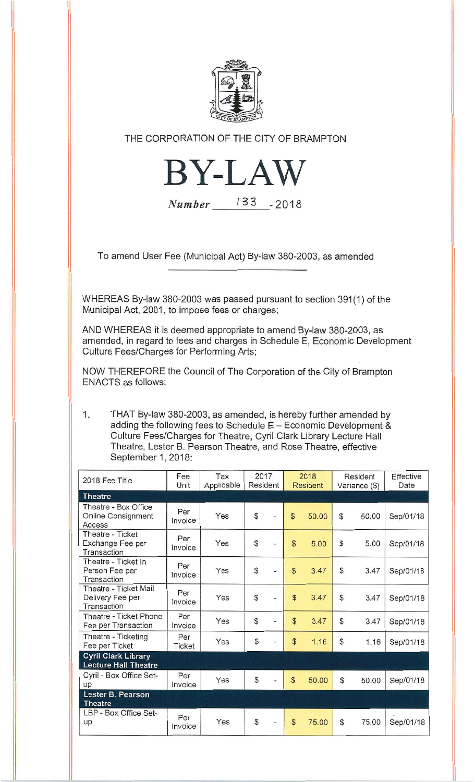

THE CORPORATION OF THE CITY OF BRAMPTON



Number 133 - 2018

To amend User Fee (Municipal Act) By-law 380-2003, as amended

WHEREAS By-law 380-2003 was passed pursuant to section 391(1) of the Municipal Act, 2001, to impose fees or charges;

AND WHEREAS it is deemed appropriate to amend By-law 380-2003, as amended, in regard to fees and charges in Schedule E, Economic Development Culture Fees/Charges for Performing Arts;

NOW THEREFORE the Council of The Corporation of the City of Brampton ENACTS as follows:

 $1.$ THAT By-law 380-2003, as amended, is hereby further amended by adding the following fees to Schedule E — Economic Development & Culture Fees/Charges for Theatre, Cyril Clark Library Lecture Hall Theatre, Lester B. Pearson Theatre, and Rose Theatre, effective September 1, 2018:

| 2018 Fee Title                                            | Fee<br>Unit    | Tax<br>Applicable | 2017<br>Resident |  | 2018<br><b>Resident</b> |       | Resident<br>Variance (\$) |       | Effective<br>Date |
|-----------------------------------------------------------|----------------|-------------------|------------------|--|-------------------------|-------|---------------------------|-------|-------------------|
| <b>Theatre</b>                                            |                |                   |                  |  |                         |       |                           |       |                   |
| Theatre - Box Office<br>Online Consignment<br>Access      | Per<br>Invoice | Yes               | $\mathbb{S}$     |  | $\mathbb{S}$            | 50.00 | $\mathcal{S}$             | 50.00 | Sep/01/18         |
| Theatre - Ticket<br>Exchange Fee per<br>Transaction       | Per<br>Invoice | Yes               | $\mathbb{S}$     |  | $\mathbb{S}$            | 5.00  | $\mathbb{S}$              | 5.00  | Sep/01/18         |
| Theatre - Ticket In<br>Person Fee per<br>Transaction      | Per<br>Invoice | Yes               | $\mathbb{S}$     |  | $\mathbb{S}$            | 3.47  | \$                        | 3.47  | Sep/01/18         |
| Theatre - Ticket Mail<br>Delivery Fee per<br>Transaction  | Per<br>Invoice | Yes               | $\mathcal{S}$    |  | $\mathbb{S}$            | 3.47  | $\mathbb{S}$              | 3.47  | Sep/01/18         |
| Theatre - Ticket Phone<br>Fee per Transaction             | Per<br>Invoice | Yes               | $\mathcal{S}$    |  | $\mathbb{S}$            | 3.47  | $\mathcal{S}$             | 3.47  | Sep/01/18         |
| Theatre - Ticketing<br>Fee per Ticket                     | Per<br>Ticket  | Yes               | $\mathcal{S}$    |  | $\mathcal{S}$           | 1.16  | $\mathbb{S}$              | 1.16  | Sep/01/18         |
| <b>Cyril Clark Library</b><br><b>Lecture Hall Theatre</b> |                |                   |                  |  |                         |       |                           |       |                   |
| Cyril - Box Office Set-<br>up                             | Per<br>Invoice | Yes               | $\mathbb{S}$     |  | $\mathbb{S}$            | 50.00 | $\mathbb{S}$              | 50.00 | Sep/01/18         |
| Lester B. Pearson<br><b>Theatre</b>                       |                |                   |                  |  |                         |       |                           |       |                   |
| LBP - Box Office Set-<br>up                               | Per<br>Invoice | Yes               | \$               |  | $\mathfrak{S}$          | 75.00 | $\mathcal{L}$             | 75.00 | Sep/01/18         |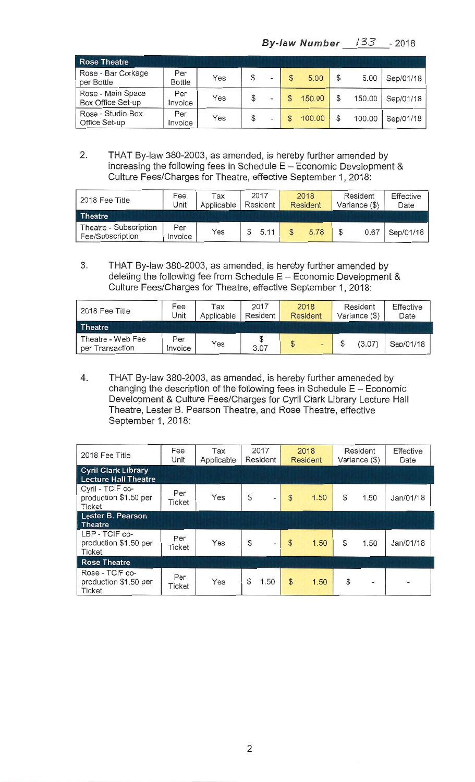| <b>Rose Theatre</b>                    |                      |     |               |                          |  |        |               |        |           |
|----------------------------------------|----------------------|-----|---------------|--------------------------|--|--------|---------------|--------|-----------|
| Rose - Bar Corkage<br>per Bottle       | Per<br><b>Bottle</b> | Yes | \$            |                          |  | 5.00   | $\mathbb{S}$  | 5.00   | Sep/01/18 |
| Rose - Main Space<br>Box Office Set-up | Per<br>Invoice       | Yes | \$            |                          |  | 150.00 |               | 150.00 | Sep/01/18 |
| Rose - Studio Box<br>Office Set-up     | Per<br>Invoice       | Yes | $\mathcal{L}$ | $\overline{\phantom{a}}$ |  | 100.00 | $\mathcal{S}$ | 100.00 | Sep/01/18 |

2. THAT By-law 380-2003, as amended, is hereby further amended by increasing the following fees in Schedule E — Economic Development & Culture Fees/Charges for Theatre, effective September 1, 2018:

| 2018 Fee Title                             | Fee<br>Jnit    | Tax<br>Applicable | 2017<br>Resident | 2018<br><b>Resident</b> | Resident<br>Variance (\$) | Effective<br>Date |
|--------------------------------------------|----------------|-------------------|------------------|-------------------------|---------------------------|-------------------|
| <b>Theatre</b>                             |                |                   |                  |                         |                           |                   |
| Theatre - Subscription<br>Fee/Subscription | Per<br>Invoice | Yes               | 5.11             | 5.78                    | 0.67                      | Sep/01/18         |

3. THAT By-law 380-2003, as amended, is hereby further amended by deleting the following fee from Schedule E — Economic Development & Culture Fees/Charges for Theatre, effective September 1, 2018:

| 2018 Fee Title                       | Fee<br>Unit    | Tax<br>Applicable | 2017<br>Resident | 2018<br><b>Resident</b> | Resident<br>Variance (\$) | Effective<br>Date |
|--------------------------------------|----------------|-------------------|------------------|-------------------------|---------------------------|-------------------|
| <b>Theatre</b>                       |                |                   |                  |                         |                           |                   |
| Theatre - Web Fee<br>per Transaction | Per<br>Invoice | Yes               | S<br>3.07        | \$<br>$\blacksquare$    | (3.07)                    | Sep/01/18         |

4. THAT By-law 380-2003, as amended, is hereby further ameneded by changing the description of the following fees in Schedule E — Economic Development & Culture Fees/Charges for Cyril Clark Library Lecture Hall Theatre, Lester B. Pearson Theatre, and Rose Theatre, effective September 1, 2018:

| 2018 Fee Title                                             | Fee<br>Unit          | Tax<br>Applicable | 2017<br>Resident                          | 2018<br><b>Resident</b> | Resident<br>Variance (\$) | Effective<br>Date        |
|------------------------------------------------------------|----------------------|-------------------|-------------------------------------------|-------------------------|---------------------------|--------------------------|
| <b>Cyril Clark Library</b><br><b>Lecture Hall Theatre</b>  |                      |                   |                                           |                         |                           |                          |
| Cyril - TCIF co-<br>production \$1.50 per<br><b>Ticket</b> | Per<br><b>Ticket</b> | Yes               | $\mathcal{S}$<br>$\frac{1}{2}$            | $\mathcal{S}$<br>1.50   | \$<br>1.50                | Jan/01/18                |
| <b>Lester B. Pearson</b><br><b>Theatre</b>                 |                      |                   |                                           |                         |                           |                          |
| LBP - TCIF co-<br>production \$1.50 per<br><b>Ticket</b>   | Per<br><b>Ticket</b> | Yes               | $\mathcal{L}$<br>$\overline{\phantom{a}}$ | $\mathcal{S}$<br>1.50   | \$<br>1.50                | Jan/01/18                |
| <b>Rose Theatre</b>                                        |                      |                   |                                           |                         |                           |                          |
| Rose - TCIF co-<br>production \$1.50 per<br><b>Ticket</b>  | Per<br>Ticket        | Yes               | \$<br>1.50                                | $\mathcal{S}$<br>1.50   | $\mathcal{S}$<br>-        | $\overline{\phantom{0}}$ |